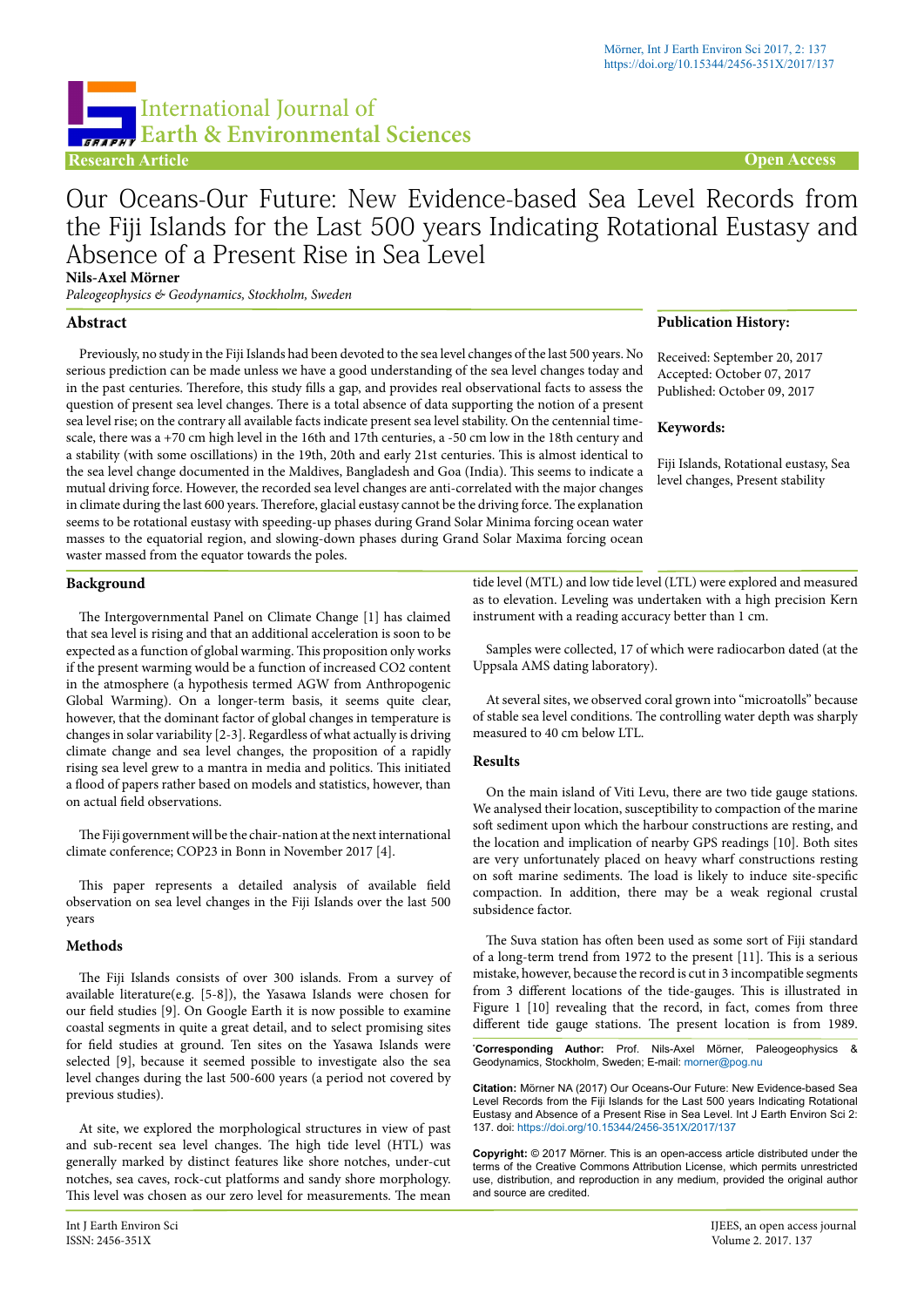# **Research Article Open Access** International Journal of **EXPAREL** Earth & Environmental Sciences

# Our Oceans-Our Future: New Evidence-based Sea Level Records from the Fiji Islands for the Last 500 years Indicating Rotational Eustasy and Absence of a Present Rise in Sea Level

**Nils-Axel Mörner**

*Paleogeophysics & Geodynamics, Stockholm, Sweden*

# **Abstract**

Previously, no study in the Fiji Islands had been devoted to the sea level changes of the last 500 years. No serious prediction can be made unless we have a good understanding of the sea level changes today and in the past centuries. Therefore, this study fills a gap, and provides real observational facts to assess the question of present sea level changes. There is a total absence of data supporting the notion of a present sea level rise; on the contrary all available facts indicate present sea level stability. On the centennial timescale, there was a +70 cm high level in the 16th and 17th centuries, a -50 cm low in the 18th century and a stability (with some oscillations) in the 19th, 20th and early 21st centuries. This is almost identical to the sea level change documented in the Maldives, Bangladesh and Goa (India). This seems to indicate a mutual driving force. However, the recorded sea level changes are anti-correlated with the major changes in climate during the last 600 years. Therefore, glacial eustasy cannot be the driving force. The explanation seems to be rotational eustasy with speeding-up phases during Grand Solar Minima forcing ocean water masses to the equatorial region, and slowing-down phases during Grand Solar Maxima forcing ocean waster massed from the equator towards the poles.

## **Publication History:**

Received: September 20, 2017 Accepted: October 07, 2017 Published: October 09, 2017

#### **Keywords:**

Fiji Islands, Rotational eustasy, Sea level changes, Present stability

# **Background**

The Intergovernmental Panel on Climate Change [1] has claimed that sea level is rising and that an additional acceleration is soon to be expected as a function of global warming. This proposition only works if the present warming would be a function of increased CO2 content in the atmosphere (a hypothesis termed AGW from Anthropogenic Global Warming). On a longer-term basis, it seems quite clear, however, that the dominant factor of global changes in temperature is changes in solar variability [2-3]. Regardless of what actually is driving climate change and sea level changes, the proposition of a rapidly rising sea level grew to a mantra in media and politics. This initiated a flood of papers rather based on models and statistics, however, than on actual field observations.

The Fiji government will be the chair-nation at the next international climate conference; COP23 in Bonn in November 2017 [4].

This paper represents a detailed analysis of available field observation on sea level changes in the Fiji Islands over the last 500 years

# **Methods**

The Fiji Islands consists of over 300 islands. From a survey of available literature(e.g. [5-8]), the Yasawa Islands were chosen for our field studies [9]. On Google Earth it is now possible to examine coastal segments in quite a great detail, and to select promising sites for field studies at ground. Ten sites on the Yasawa Islands were selected [9], because it seemed possible to investigate also the sea level changes during the last 500-600 years (a period not covered by previous studies).

At site, we explored the morphological structures in view of past and sub-recent sea level changes. The high tide level (HTL) was generally marked by distinct features like shore notches, under-cut notches, sea caves, rock-cut platforms and sandy shore morphology. This level was chosen as our zero level for measurements. The mean

tide level (MTL) and low tide level (LTL) were explored and measured as to elevation. Leveling was undertaken with a high precision Kern instrument with a reading accuracy better than 1 cm.

Samples were collected, 17 of which were radiocarbon dated (at the Uppsala AMS dating laboratory).

At several sites, we observed coral grown into "microatolls" because of stable sea level conditions. The controlling water depth was sharply measured to 40 cm below LTL.

#### **Results**

On the main island of Viti Levu, there are two tide gauge stations. We analysed their location, susceptibility to compaction of the marine soft sediment upon which the harbour constructions are resting, and the location and implication of nearby GPS readings [10]. Both sites are very unfortunately placed on heavy wharf constructions resting on soft marine sediments. The load is likely to induce site-specific compaction. In addition, there may be a weak regional crustal subsidence factor.

The Suva station has often been used as some sort of Fiji standard of a long-term trend from 1972 to the present [11]. This is a serious mistake, however, because the record is cut in 3 incompatible segments from 3 different locations of the tide-gauges. This is illustrated in Figure 1 [10] revealing that the record, in fact, comes from three different tide gauge stations. The present location is from 1989.

**\* Corresponding Author:** Prof. Nils-Axel Mörner, Paleogeophysics & Geodynamics, Stockholm, Sweden; E-mail: morner@pog.nu

**Citation:** Mörner NA (2017) Our Oceans-Our Future: New Evidence-based Sea Level Records from the Fiji Islands for the Last 500 years Indicating Rotational Eustasy and Absence of a Present Rise in Sea Level. Int J Earth Environ Sci 2: 137. doi: <https://doi.org/10.15344/2456-351X/2017/137>

**Copyright:** © 2017 Mörner. This is an open-access article distributed under the terms of the Creative Commons Attribution License, which permits unrestricted use, distribution, and reproduction in any medium, provided the original author and source are credited.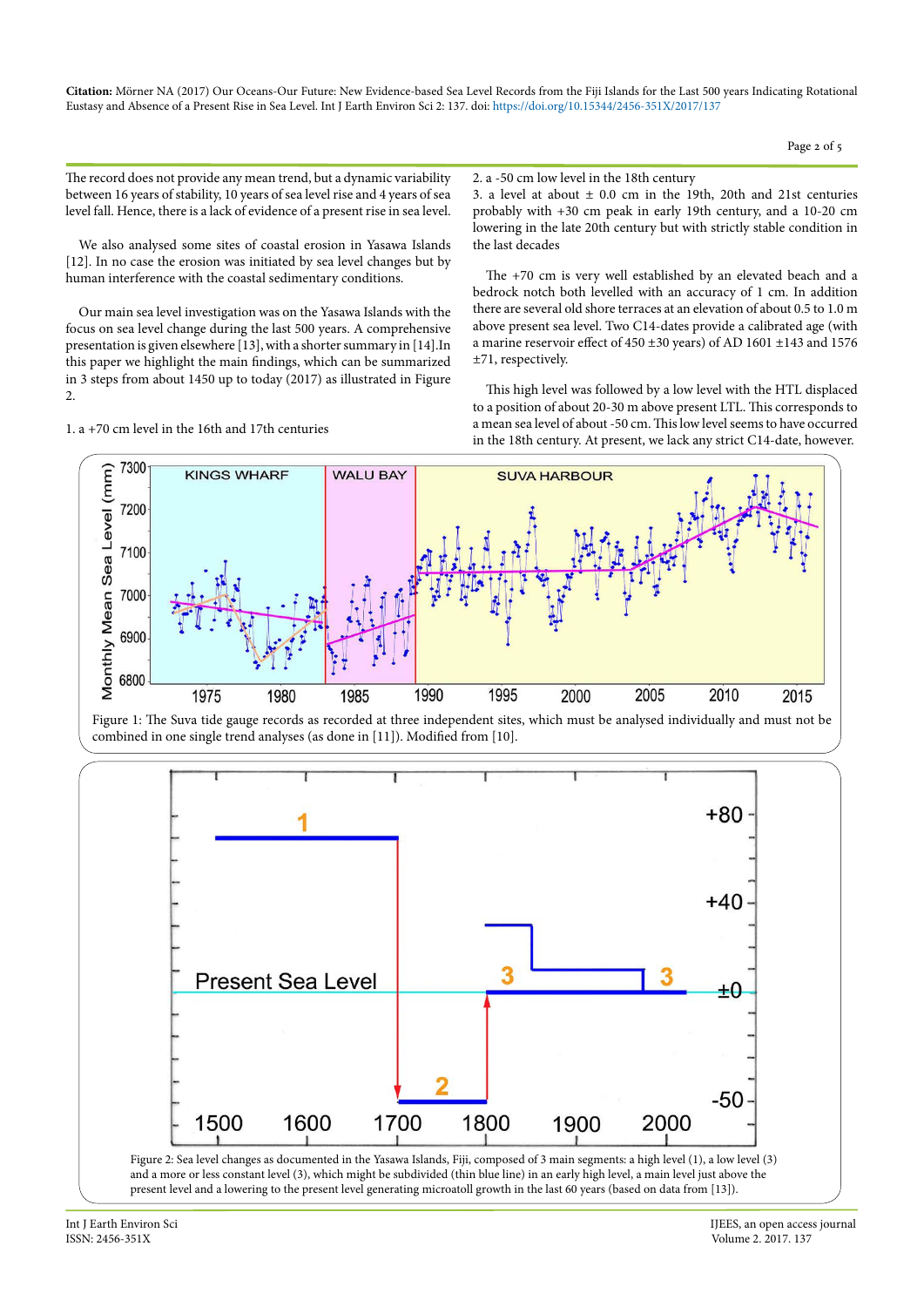Page 2 of 5

The record does not provide any mean trend, but a dynamic variability between 16 years of stability, 10 years of sea level rise and 4 years of sea level fall. Hence, there is a lack of evidence of a present rise in sea level.

We also analysed some sites of coastal erosion in Yasawa Islands [12]. In no case the erosion was initiated by sea level changes but by human interference with the coastal sedimentary conditions.

Our main sea level investigation was on the Yasawa Islands with the focus on sea level change during the last 500 years. A comprehensive presentation is given elsewhere [13], with a shorter summary in [14].In this paper we highlight the main findings, which can be summarized in 3 steps from about 1450 up to today (2017) as illustrated in Figure 2.

1. a +70 cm level in the 16th and 17th centuries

2. a -50 cm low level in the 18th century 3. a level at about  $\pm$  0.0 cm in the 19th, 20th and 21st centuries probably with +30 cm peak in early 19th century, and a 10-20 cm lowering in the late 20th century but with strictly stable condition in the last decades

The +70 cm is very well established by an elevated beach and a bedrock notch both levelled with an accuracy of 1 cm. In addition there are several old shore terraces at an elevation of about 0.5 to 1.0 m above present sea level. Two C14-dates provide a calibrated age (with a marine reservoir effect of 450 ±30 years) of AD 1601 ±143 and 1576 ±71, respectively.

This high level was followed by a low level with the HTL displaced to a position of about 20-30 m above present LTL. This corresponds to a mean sea level of about -50 cm. This low level seems to have occurred in the 18th century. At present, we lack any strict C14-date, however.



Figure 1: The Suva tide gauge records as recorded at three independent sites, which must be analysed individually and must not be combined in one single trend analyses (as done in [11]). Modified from [10].



Int J Earth Environ Sci **IIIEES**, an open access journal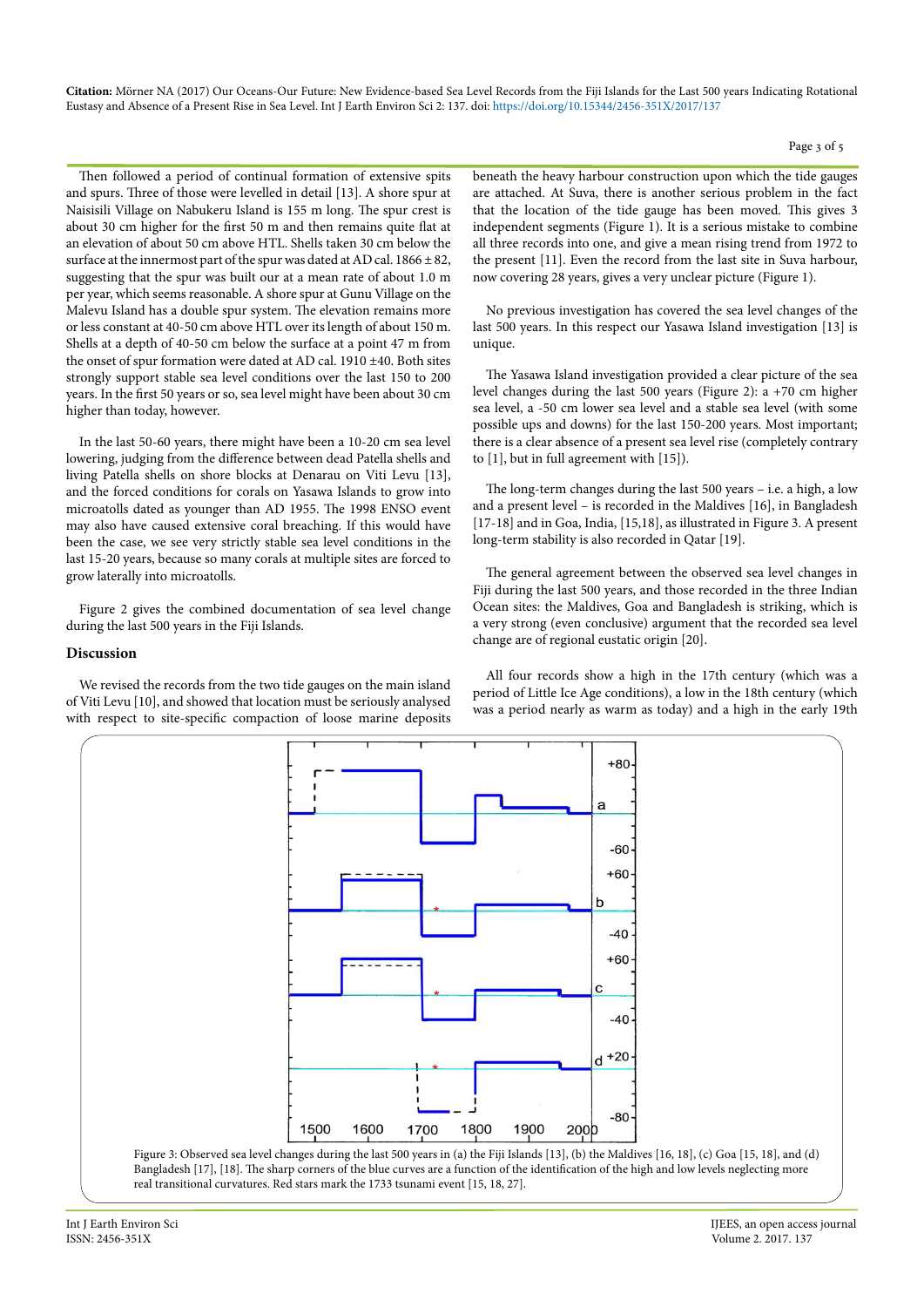Page 3 of 5

Then followed a period of continual formation of extensive spits and spurs. Three of those were levelled in detail [13]. A shore spur at Naisisili Village on Nabukeru Island is 155 m long. The spur crest is about 30 cm higher for the first 50 m and then remains quite flat at an elevation of about 50 cm above HTL. Shells taken 30 cm below the surface at the innermost part of the spur was dated at AD cal.  $1866 \pm 82$ , suggesting that the spur was built our at a mean rate of about 1.0 m per year, which seems reasonable. A shore spur at Gunu Village on the Malevu Island has a double spur system. The elevation remains more or less constant at 40-50 cm above HTL over its length of about 150 m. Shells at a depth of 40-50 cm below the surface at a point 47 m from the onset of spur formation were dated at AD cal. 1910 ±40. Both sites strongly support stable sea level conditions over the last 150 to 200 years. In the first 50 years or so, sea level might have been about 30 cm higher than today, however.

In the last 50-60 years, there might have been a 10-20 cm sea level lowering, judging from the difference between dead Patella shells and living Patella shells on shore blocks at Denarau on Viti Levu [13], and the forced conditions for corals on Yasawa Islands to grow into microatolls dated as younger than AD 1955. The 1998 ENSO event may also have caused extensive coral breaching. If this would have been the case, we see very strictly stable sea level conditions in the last 15-20 years, because so many corals at multiple sites are forced to grow laterally into microatolls.

Figure 2 gives the combined documentation of sea level change during the last 500 years in the Fiji Islands.

## **Discussion**

We revised the records from the two tide gauges on the main island of Viti Levu [10], and showed that location must be seriously analysed with respect to site-specific compaction of loose marine deposits beneath the heavy harbour construction upon which the tide gauges are attached. At Suva, there is another serious problem in the fact that the location of the tide gauge has been moved. This gives 3 independent segments (Figure 1). It is a serious mistake to combine all three records into one, and give a mean rising trend from 1972 to the present [11]. Even the record from the last site in Suva harbour, now covering 28 years, gives a very unclear picture (Figure 1).

No previous investigation has covered the sea level changes of the last 500 years. In this respect our Yasawa Island investigation [13] is unique.

The Yasawa Island investigation provided a clear picture of the sea level changes during the last 500 years (Figure 2): a +70 cm higher sea level, a -50 cm lower sea level and a stable sea level (with some possible ups and downs) for the last 150-200 years. Most important; there is a clear absence of a present sea level rise (completely contrary to [1], but in full agreement with [15]).

The long-term changes during the last 500 years – i.e. a high, a low and a present level – is recorded in the Maldives [16], in Bangladesh [17-18] and in Goa, India, [15,18], as illustrated in Figure 3. A present long-term stability is also recorded in Qatar [19].

The general agreement between the observed sea level changes in Fiji during the last 500 years, and those recorded in the three Indian Ocean sites: the Maldives, Goa and Bangladesh is striking, which is a very strong (even conclusive) argument that the recorded sea level change are of regional eustatic origin [20].

All four records show a high in the 17th century (which was a period of Little Ice Age conditions), a low in the 18th century (which was a period nearly as warm as today) and a high in the early 19th

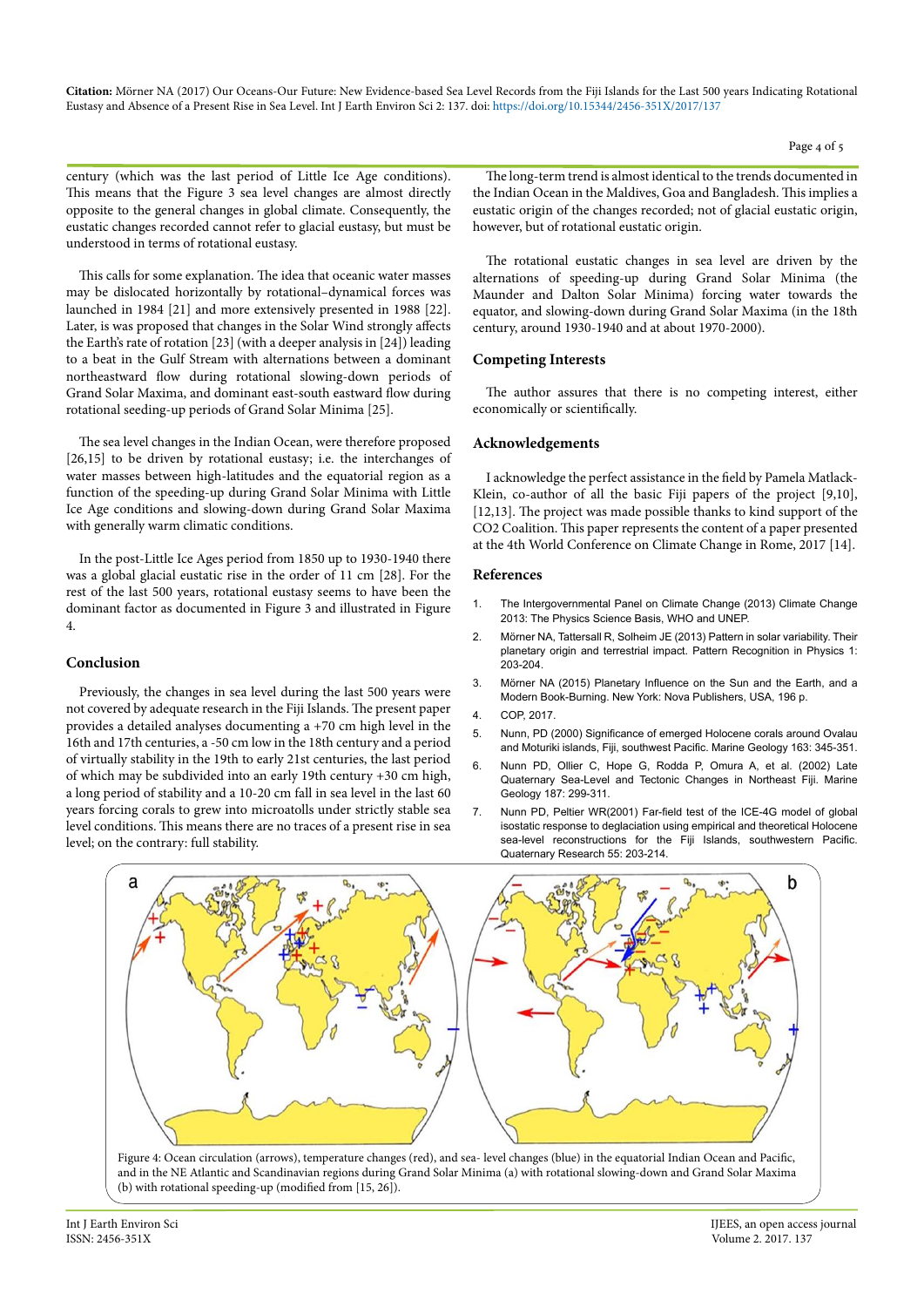century (which was the last period of Little Ice Age conditions). This means that the Figure 3 sea level changes are almost directly opposite to the general changes in global climate. Consequently, the eustatic changes recorded cannot refer to glacial eustasy, but must be understood in terms of rotational eustasy.

This calls for some explanation. The idea that oceanic water masses may be dislocated horizontally by rotational–dynamical forces was launched in 1984 [21] and more extensively presented in 1988 [22]. Later, is was proposed that changes in the Solar Wind strongly affects the Earth's rate of rotation [23] (with a deeper analysis in [24]) leading to a beat in the Gulf Stream with alternations between a dominant northeastward flow during rotational slowing-down periods of Grand Solar Maxima, and dominant east-south eastward flow during rotational seeding-up periods of Grand Solar Minima [25].

The sea level changes in the Indian Ocean, were therefore proposed [26,15] to be driven by rotational eustasy; i.e. the interchanges of water masses between high-latitudes and the equatorial region as a function of the speeding-up during Grand Solar Minima with Little Ice Age conditions and slowing-down during Grand Solar Maxima with generally warm climatic conditions.

In the post-Little Ice Ages period from 1850 up to 1930-1940 there was a global glacial eustatic rise in the order of 11 cm [28]. For the rest of the last 500 years, rotational eustasy seems to have been the dominant factor as documented in Figure 3 and illustrated in Figure 4.

# **Conclusion**

Previously, the changes in sea level during the last 500 years were not covered by adequate research in the Fiji Islands. The present paper provides a detailed analyses documenting a +70 cm high level in the 16th and 17th centuries, a -50 cm low in the 18th century and a period of virtually stability in the 19th to early 21st centuries, the last period of which may be subdivided into an early 19th century +30 cm high, a long period of stability and a 10-20 cm fall in sea level in the last 60 years forcing corals to grew into microatolls under strictly stable sea level conditions. This means there are no traces of a present rise in sea level; on the contrary: full stability.

The long-term trend is almost identical to the trends documented in the Indian Ocean in the Maldives, Goa and Bangladesh. This implies a eustatic origin of the changes recorded; not of glacial eustatic origin, however, but of rotational eustatic origin.

The rotational eustatic changes in sea level are driven by the alternations of speeding-up during Grand Solar Minima (the Maunder and Dalton Solar Minima) forcing water towards the equator, and slowing-down during Grand Solar Maxima (in the 18th century, around 1930-1940 and at about 1970-2000).

## **Competing Interests**

The author assures that there is no competing interest, either economically or scientifically.

# **Acknowledgements**

I acknowledge the perfect assistance in the field by Pamela Matlack-Klein, co-author of all the basic Fiji papers of the project [9,10], [12,13]. The project was made possible thanks to kind support of the CO2 Coalition. This paper represents the content of a paper presented at the 4th World Conference on Climate Change in Rome, 2017 [14].

#### **References**

- 1. [The Intergovernmental Panel on Climate Change \(2013\) Climate Change](http://www.ipcc.ch/report/ar5/wg1/)  [2013: The Physics Science Basis, WHO and UNEP.](http://www.ipcc.ch/report/ar5/wg1/)
- 2. [Mörner NA, Tattersall R, Solheim JE \(2013\) Pattern in solar variability. Their](http://www.pattern-recogn-phys.net/1/203/2013/prp-1-203-2013.pdf)  [planetary origin and terrestrial impact. Pattern Recognition in Physics 1:](http://www.pattern-recogn-phys.net/1/203/2013/prp-1-203-2013.pdf)   $203 - 204$
- 3. [Mörner NA \(2015\) Planetary Influence on the Sun and the Earth, and a](https://www.novapublishers.com/catalog/product_info.php%3Fproducts_id%3D54840)  [Modern Book-Burning. New York: Nova Publishers, USA, 196 p.](https://www.novapublishers.com/catalog/product_info.php%3Fproducts_id%3D54840)
- 4. [COP, 2017.](http://unfccc.int/meetings/unfcc_clendar/items/2655.php%3Fyear%3D2017)
- 5. [Nunn, PD \(2000\) Significance of emerged Holocene corals around Ovalau](http://www.sciencedirect.com/science/article/pii/S0025322799001140)  [and Moturiki islands, Fiji, southwest Pacific. Marine Geology 163: 345-351.](http://www.sciencedirect.com/science/article/pii/S0025322799001140)
- 6. [Nunn PD, Ollier C, Hope G, Rodda P, Omura A, et al. \(2002\) Late](http://www.sciencedirect.com/science/article/pii/S0025322702002967)  [Quaternary Sea-Level and Tectonic Changes in Northeast Fiji. Marine](http://www.sciencedirect.com/science/article/pii/S0025322702002967)  [Geology 187: 299-311.](http://www.sciencedirect.com/science/article/pii/S0025322702002967)
- 7. [Nunn PD, Peltier WR\(2001\) Far-field test of the ICE-4G model of global](http://www.sciencedirect.com/science/article/pii/S0033589400922051)  [isostatic response to deglaciation using empirical and theoretical Holocene](http://www.sciencedirect.com/science/article/pii/S0033589400922051)  sea-level reconstructions for the Fiji Islands, southwestern Pacific. [Quaternary Research 55: 203-214.](http://www.sciencedirect.com/science/article/pii/S0033589400922051)



and in the NE Atlantic and Scandinavian regions during Grand Solar Minima (a) with rotational slowing-down and Grand Solar Maxima (b) with rotational speeding-up (modified from [15, 26]).